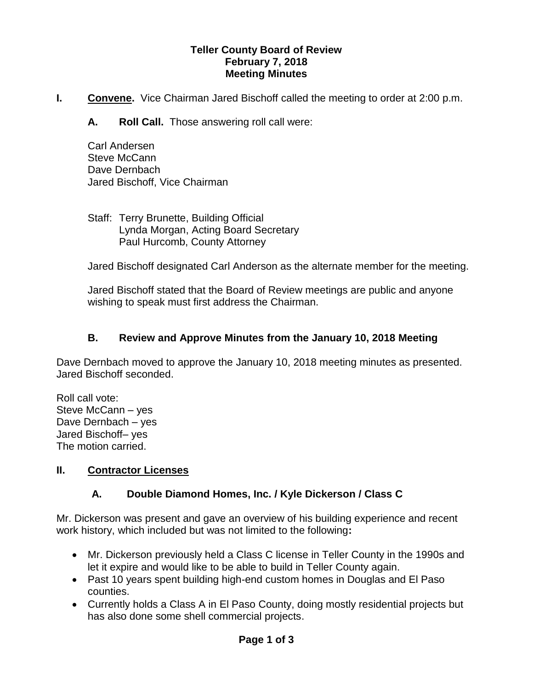#### **Teller County Board of Review February 7, 2018 Meeting Minutes**

**I.** Convene. Vice Chairman Jared Bischoff called the meeting to order at 2:00 p.m.

**A. Roll Call.** Those answering roll call were:

Carl Andersen Steve McCann Dave Dernbach Jared Bischoff, Vice Chairman

Staff: Terry Brunette, Building Official Lynda Morgan, Acting Board Secretary Paul Hurcomb, County Attorney

Jared Bischoff designated Carl Anderson as the alternate member for the meeting.

Jared Bischoff stated that the Board of Review meetings are public and anyone wishing to speak must first address the Chairman.

### **B. Review and Approve Minutes from the January 10, 2018 Meeting**

Dave Dernbach moved to approve the January 10, 2018 meeting minutes as presented. Jared Bischoff seconded.

Roll call vote: Steve McCann – yes Dave Dernbach – yes Jared Bischoff– yes The motion carried.

### **II. Contractor Licenses**

# **A. Double Diamond Homes, Inc. / Kyle Dickerson / Class C**

Mr. Dickerson was present and gave an overview of his building experience and recent work history, which included but was not limited to the following**:**

- Mr. Dickerson previously held a Class C license in Teller County in the 1990s and let it expire and would like to be able to build in Teller County again.
- Past 10 years spent building high-end custom homes in Douglas and El Paso counties.
- Currently holds a Class A in El Paso County, doing mostly residential projects but has also done some shell commercial projects.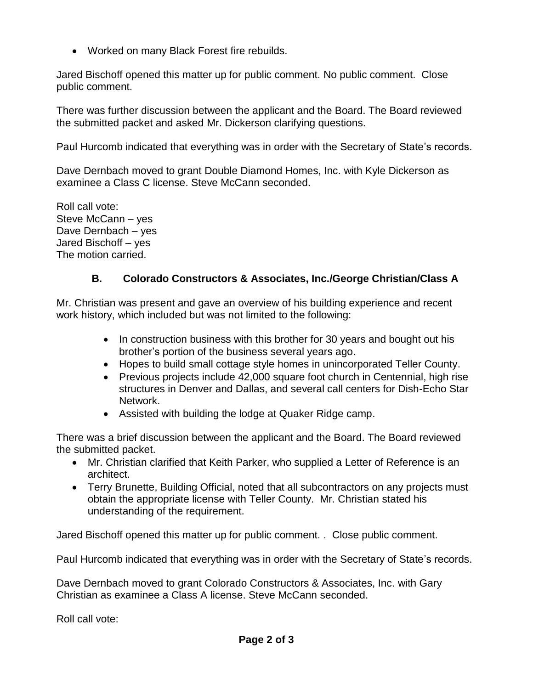Worked on many Black Forest fire rebuilds.

Jared Bischoff opened this matter up for public comment. No public comment. Close public comment.

There was further discussion between the applicant and the Board. The Board reviewed the submitted packet and asked Mr. Dickerson clarifying questions.

Paul Hurcomb indicated that everything was in order with the Secretary of State's records.

Dave Dernbach moved to grant Double Diamond Homes, Inc. with Kyle Dickerson as examinee a Class C license. Steve McCann seconded.

Roll call vote: Steve McCann – yes Dave Dernbach – yes Jared Bischoff – yes The motion carried.

## **B. Colorado Constructors & Associates, Inc./George Christian/Class A**

Mr. Christian was present and gave an overview of his building experience and recent work history, which included but was not limited to the following:

- In construction business with this brother for 30 years and bought out his brother's portion of the business several years ago.
- Hopes to build small cottage style homes in unincorporated Teller County.
- Previous projects include 42,000 square foot church in Centennial, high rise structures in Denver and Dallas, and several call centers for Dish-Echo Star Network.
- Assisted with building the lodge at Quaker Ridge camp.

There was a brief discussion between the applicant and the Board. The Board reviewed the submitted packet.

- Mr. Christian clarified that Keith Parker, who supplied a Letter of Reference is an architect.
- Terry Brunette, Building Official, noted that all subcontractors on any projects must obtain the appropriate license with Teller County. Mr. Christian stated his understanding of the requirement.

Jared Bischoff opened this matter up for public comment. . Close public comment.

Paul Hurcomb indicated that everything was in order with the Secretary of State's records.

Dave Dernbach moved to grant Colorado Constructors & Associates, Inc. with Gary Christian as examinee a Class A license. Steve McCann seconded.

Roll call vote: